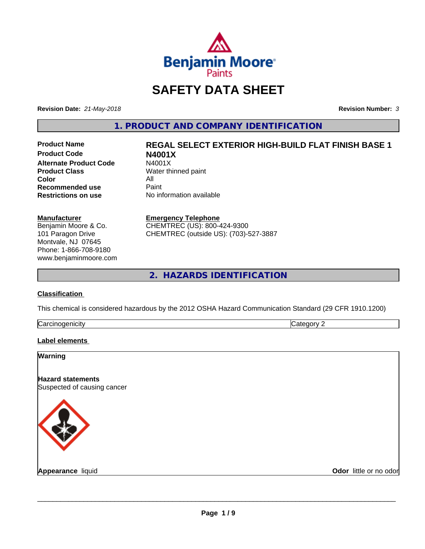

# **SAFETY DATA SHEET**

**Revision Date:** *21-May-2018* **Revision Number:** *3*

**1. PRODUCT AND COMPANY IDENTIFICATION**

**Product Code N4001X Alternate Product Code**<br>Product Class **Color** All<br> **Recommended use** Paint **Recommended use**<br>Restrictions on use

# **Product Name REGAL SELECT EXTERIOR HIGH-BUILD FLAT FINISH BASE 1**

**Water thinned paint No information available** 

#### **Manufacturer**

Benjamin Moore & Co. 101 Paragon Drive Montvale, NJ 07645 Phone: 1-866-708-9180 www.benjaminmoore.com

#### **Emergency Telephone**

CHEMTREC (US): 800-424-9300 CHEMTREC (outside US): (703)-527-3887

**2. HAZARDS IDENTIFICATION**

# **Classification**

This chemical is considered hazardous by the 2012 OSHA Hazard Communication Standard (29 CFR 1910.1200)

| ∽<br>- - -<br>----<br>.<br>ruard<br>ш<br>. .<br>___ | ш |
|-----------------------------------------------------|---|
|                                                     |   |

# **Label elements**

| <b>Warning</b>                                          |                        |
|---------------------------------------------------------|------------------------|
| <b>Hazard statements</b><br>Suspected of causing cancer |                        |
|                                                         |                        |
| <b>Appearance liquid</b>                                | Odor little or no odor |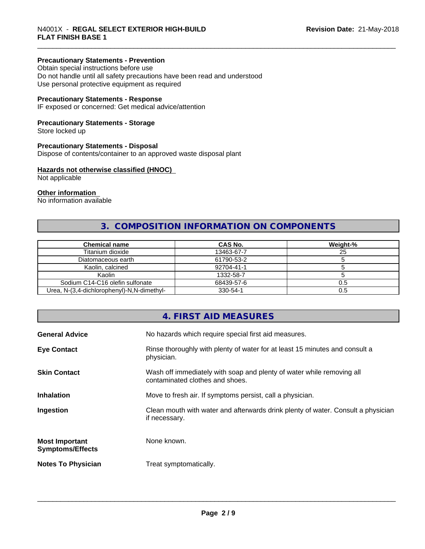# **Precautionary Statements - Prevention**

Obtain special instructions before use Do not handle until all safety precautions have been read and understood Use personal protective equipment as required

# **Precautionary Statements - Response**

IF exposed or concerned: Get medical advice/attention

# **Precautionary Statements - Storage**

Store locked up

#### **Precautionary Statements - Disposal**

Dispose of contents/container to an approved waste disposal plant

# **Hazards not otherwise classified (HNOC)**

Not applicable

#### **Other information**

No information available

# **3. COMPOSITION INFORMATION ON COMPONENTS**

| <b>Chemical name</b>                       | CAS No.    | Weight-% |
|--------------------------------------------|------------|----------|
| Titanium dioxide                           | 13463-67-7 | 25       |
| Diatomaceous earth                         | 61790-53-2 |          |
| Kaolin, calcined                           | 92704-41-1 |          |
| Kaolin                                     | 1332-58-7  |          |
| Sodium C14-C16 olefin sulfonate            | 68439-57-6 | 0.5      |
| Urea, N-(3,4-dichlorophenyl)-N,N-dimethyl- | 330-54-1   | 0.5      |

# **4. FIRST AID MEASURES**

| <b>General Advice</b>                            | No hazards which require special first aid measures.                                                     |
|--------------------------------------------------|----------------------------------------------------------------------------------------------------------|
| <b>Eye Contact</b>                               | Rinse thoroughly with plenty of water for at least 15 minutes and consult a<br>physician.                |
| <b>Skin Contact</b>                              | Wash off immediately with soap and plenty of water while removing all<br>contaminated clothes and shoes. |
| <b>Inhalation</b>                                | Move to fresh air. If symptoms persist, call a physician.                                                |
| Ingestion                                        | Clean mouth with water and afterwards drink plenty of water. Consult a physician<br>if necessary.        |
| <b>Most Important</b><br><b>Symptoms/Effects</b> | None known.                                                                                              |
| <b>Notes To Physician</b>                        | Treat symptomatically.                                                                                   |
|                                                  |                                                                                                          |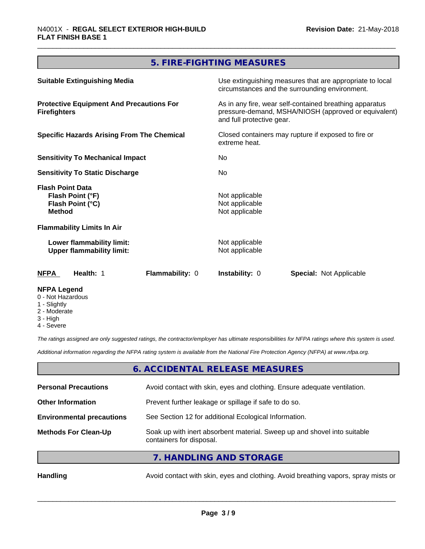# **5. FIRE-FIGHTING MEASURES**

| <b>NFPA Legend</b>                                                                                                        |                 |                                                                                                            |                                                                                                                                              |  |
|---------------------------------------------------------------------------------------------------------------------------|-----------------|------------------------------------------------------------------------------------------------------------|----------------------------------------------------------------------------------------------------------------------------------------------|--|
| <b>NFPA</b><br>Health: 1                                                                                                  | Flammability: 0 | <b>Instability: 0</b>                                                                                      | <b>Special: Not Applicable</b>                                                                                                               |  |
| Lower flammability limit:<br><b>Upper flammability limit:</b>                                                             |                 | Not applicable<br>Not applicable                                                                           |                                                                                                                                              |  |
| <b>Flammability Limits In Air</b>                                                                                         |                 |                                                                                                            |                                                                                                                                              |  |
| Flash Point (°C)<br><b>Method</b>                                                                                         |                 | Not applicable<br>Not applicable                                                                           |                                                                                                                                              |  |
| <b>Flash Point Data</b><br>Flash Point (°F)                                                                               |                 | Not applicable                                                                                             |                                                                                                                                              |  |
| <b>Sensitivity To Static Discharge</b>                                                                                    |                 | No.                                                                                                        |                                                                                                                                              |  |
| <b>Sensitivity To Mechanical Impact</b><br>No.                                                                            |                 |                                                                                                            |                                                                                                                                              |  |
| <b>Specific Hazards Arising From The Chemical</b><br>Closed containers may rupture if exposed to fire or<br>extreme heat. |                 |                                                                                                            |                                                                                                                                              |  |
| <b>Protective Equipment And Precautions For</b><br><b>Firefighters</b>                                                    |                 |                                                                                                            | As in any fire, wear self-contained breathing apparatus<br>pressure-demand, MSHA/NIOSH (approved or equivalent)<br>and full protective gear. |  |
| <b>Suitable Extinguishing Media</b>                                                                                       |                 | Use extinguishing measures that are appropriate to local<br>circumstances and the surrounding environment. |                                                                                                                                              |  |
|                                                                                                                           |                 |                                                                                                            |                                                                                                                                              |  |

- 0 Not Hazardous
- 1 Slightly
- 2 Moderate
- 3 High
- 4 Severe

*The ratings assigned are only suggested ratings, the contractor/employer has ultimate responsibilities for NFPA ratings where this system is used.*

*Additional information regarding the NFPA rating system is available from the National Fire Protection Agency (NFPA) at www.nfpa.org.*

# **6. ACCIDENTAL RELEASE MEASURES**

| <b>Personal Precautions</b>      | Avoid contact with skin, eyes and clothing. Ensure adequate ventilation.                             |
|----------------------------------|------------------------------------------------------------------------------------------------------|
| <b>Other Information</b>         | Prevent further leakage or spillage if safe to do so.                                                |
| <b>Environmental precautions</b> | See Section 12 for additional Ecological Information.                                                |
| <b>Methods For Clean-Up</b>      | Soak up with inert absorbent material. Sweep up and shovel into suitable<br>containers for disposal. |
|                                  | $\tau$ is a linear into a ninet of $\sigma$                                                          |

**7. HANDLING AND STORAGE**

Handling **Handling** Avoid contact with skin, eyes and clothing. Avoid breathing vapors, spray mists or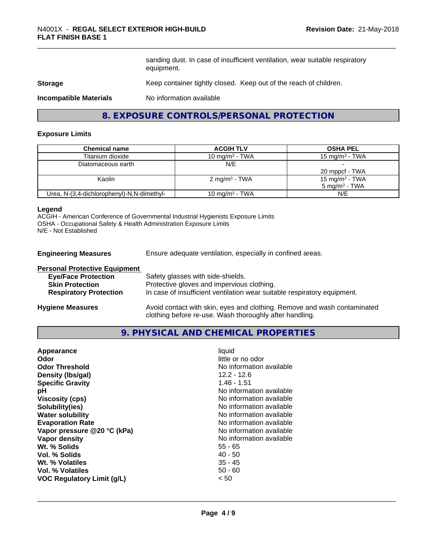sanding dust. In case of insufficient ventilation, wear suitable respiratory equipment.

# **Storage** Keep container tightly closed. Keep out of the reach of children.

**Incompatible Materials** No information available

# **8. EXPOSURE CONTROLS/PERSONAL PROTECTION**

#### **Exposure Limits**

| <b>Chemical name</b>                       | <b>ACGIH TLV</b>           | <b>OSHA PEL</b>            |
|--------------------------------------------|----------------------------|----------------------------|
| Titanium dioxide                           | 10 mg/m $3$ - TWA          | $15 \text{ mg/m}^3$ - TWA  |
| Diatomaceous earth                         | N/E                        |                            |
|                                            |                            | 20 mppcf - TWA             |
| Kaolin                                     | $2 \text{ mg/m}^3$ - TWA   | 15 mg/m <sup>3</sup> - TWA |
|                                            |                            | $5 \text{ ma/m}^3$ - TWA   |
| Urea, N-(3,4-dichlorophenyl)-N,N-dimethyl- | 10 mg/m <sup>3</sup> - TWA | N/E                        |

#### **Legend**

ACGIH - American Conference of Governmental Industrial Hygienists Exposure Limits OSHA - Occupational Safety & Health Administration Exposure Limits N/E - Not Established

**Engineering Measures** Ensure adequate ventilation, especially in confined areas.

| <b>Personal Protective Equipment</b> |                                                                                                                                     |
|--------------------------------------|-------------------------------------------------------------------------------------------------------------------------------------|
| <b>Eye/Face Protection</b>           | Safety glasses with side-shields.                                                                                                   |
| <b>Skin Protection</b>               | Protective gloves and impervious clothing.                                                                                          |
| <b>Respiratory Protection</b>        | In case of insufficient ventilation wear suitable respiratory equipment.                                                            |
| <b>Hygiene Measures</b>              | Avoid contact with skin, eyes and clothing. Remove and wash contaminated<br>clothing before re-use. Wash thoroughly after handling. |

# **9. PHYSICAL AND CHEMICAL PROPERTIES**

| No information available<br>Vapor pressure @20 °C (kPa)<br>No information available<br>Vapor density<br>Wt. % Solids<br>$55 - 65$<br>$40 - 50$<br>Vol. % Solids<br>$35 - 45$<br><b>Wt. % Volatiles</b><br>$50 - 60$<br>Vol. % Volatiles<br><b>VOC Regulatory Limit (g/L)</b><br>< 50 | Appearance<br>Odor<br><b>Odor Threshold</b><br>Density (Ibs/gal)<br><b>Specific Gravity</b><br>рH<br><b>Viscosity (cps)</b><br>Solubility(ies)<br><b>Water solubility</b><br><b>Evaporation Rate</b> | liquid<br>little or no odor<br>No information available<br>$12.2 - 12.6$<br>$1.46 - 1.51$<br>No information available<br>No information available<br>No information available<br>No information available<br>No information available |
|--------------------------------------------------------------------------------------------------------------------------------------------------------------------------------------------------------------------------------------------------------------------------------------|------------------------------------------------------------------------------------------------------------------------------------------------------------------------------------------------------|---------------------------------------------------------------------------------------------------------------------------------------------------------------------------------------------------------------------------------------|
|--------------------------------------------------------------------------------------------------------------------------------------------------------------------------------------------------------------------------------------------------------------------------------------|------------------------------------------------------------------------------------------------------------------------------------------------------------------------------------------------------|---------------------------------------------------------------------------------------------------------------------------------------------------------------------------------------------------------------------------------------|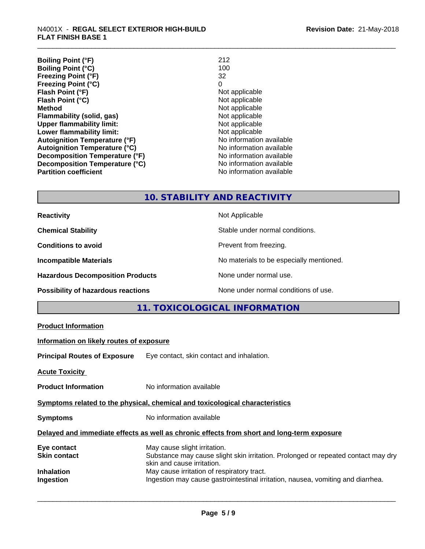| <b>Boiling Point (°F)</b>            | 212                      |
|--------------------------------------|--------------------------|
| <b>Boiling Point (°C)</b>            | 100                      |
| <b>Freezing Point (°F)</b>           | 32                       |
| <b>Freezing Point (°C)</b>           | 0                        |
| Flash Point (°F)                     | Not applicable           |
| Flash Point (°C)                     | Not applicable           |
| <b>Method</b>                        | Not applicable           |
| Flammability (solid, gas)            | Not applicable           |
| <b>Upper flammability limit:</b>     | Not applicable           |
| Lower flammability limit:            | Not applicable           |
| <b>Autoignition Temperature (°F)</b> | No information available |
| <b>Autoignition Temperature (°C)</b> | No information available |
| Decomposition Temperature (°F)       | No information available |
| Decomposition Temperature (°C)       | No information available |
| <b>Partition coefficient</b>         | No information available |

# **10. STABILITY AND REACTIVITY**

| <b>Reactivity</b>                         | Not Applicable                           |
|-------------------------------------------|------------------------------------------|
| <b>Chemical Stability</b>                 | Stable under normal conditions.          |
| <b>Conditions to avoid</b>                | Prevent from freezing.                   |
| <b>Incompatible Materials</b>             | No materials to be especially mentioned. |
| <b>Hazardous Decomposition Products</b>   | None under normal use.                   |
| <b>Possibility of hazardous reactions</b> | None under normal conditions of use.     |

# **11. TOXICOLOGICAL INFORMATION**

| <b>Product Information</b>                                                                 |                                                                                                                                                 |  |
|--------------------------------------------------------------------------------------------|-------------------------------------------------------------------------------------------------------------------------------------------------|--|
| Information on likely routes of exposure                                                   |                                                                                                                                                 |  |
|                                                                                            | <b>Principal Routes of Exposure</b> Eye contact, skin contact and inhalation.                                                                   |  |
| Acute Toxicity                                                                             |                                                                                                                                                 |  |
| <b>Product Information</b>                                                                 | No information available                                                                                                                        |  |
| Symptoms related to the physical, chemical and toxicological characteristics               |                                                                                                                                                 |  |
| <b>Symptoms</b>                                                                            | No information available                                                                                                                        |  |
| Delayed and immediate effects as well as chronic effects from short and long-term exposure |                                                                                                                                                 |  |
| Eye contact<br>Skin contact                                                                | May cause slight irritation.<br>Substance may cause slight skin irritation. Prolonged or repeated contact may dry<br>skin and cause irritation. |  |
| Inhalation<br>Ingestion                                                                    | May cause irritation of respiratory tract.<br>Ingestion may cause gastrointestinal irritation, nausea, vomiting and diarrhea.                   |  |
|                                                                                            |                                                                                                                                                 |  |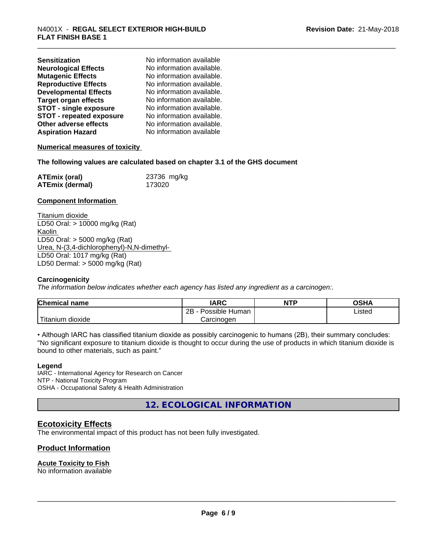| <b>Sensitization</b>            | No information available  |
|---------------------------------|---------------------------|
| <b>Neurological Effects</b>     | No information available. |
| <b>Mutagenic Effects</b>        | No information available. |
| <b>Reproductive Effects</b>     | No information available. |
| <b>Developmental Effects</b>    | No information available. |
| <b>Target organ effects</b>     | No information available. |
| <b>STOT - single exposure</b>   | No information available. |
| <b>STOT - repeated exposure</b> | No information available. |
| Other adverse effects           | No information available. |
| <b>Aspiration Hazard</b>        | No information available  |

# **Numerical measures of toxicity**

# **The following values are calculated based on chapter 3.1 of the GHS document**

| <b>ATEmix (oral)</b> | 23736 mg/kg |
|----------------------|-------------|
| ATEmix (dermal)      | 173020      |

# **Component Information**

Titanium dioxide LD50 Oral: > 10000 mg/kg (Rat) Kaolin LD50 Oral: > 5000 mg/kg (Rat) Urea, N-(3,4-dichlorophenyl)-N,N-dimethyl- LD50 Oral: 1017 mg/kg (Rat) LD50 Dermal: > 5000 mg/kg (Rat)

# **Carcinogenicity**

*The information below indicateswhether each agency has listed any ingredient as a carcinogen:.*

| <b>Chemical name</b>   | <b>IARC</b>          | <b>NTP</b> | OSHA   |
|------------------------|----------------------|------------|--------|
|                        | 2B<br>Possible Human |            | Listed |
| 'Titanium<br>m dioxide | Carcinoɑen           |            |        |

• Although IARC has classified titanium dioxide as possibly carcinogenic to humans (2B), their summary concludes: "No significant exposure to titanium dioxide is thought to occur during the use of products in which titanium dioxide is bound to other materials, such as paint."

# **Legend**

IARC - International Agency for Research on Cancer NTP - National Toxicity Program OSHA - Occupational Safety & Health Administration

**12. ECOLOGICAL INFORMATION**

# **Ecotoxicity Effects**

The environmental impact of this product has not been fully investigated.

# **Product Information**

# **Acute Toxicity to Fish**

No information available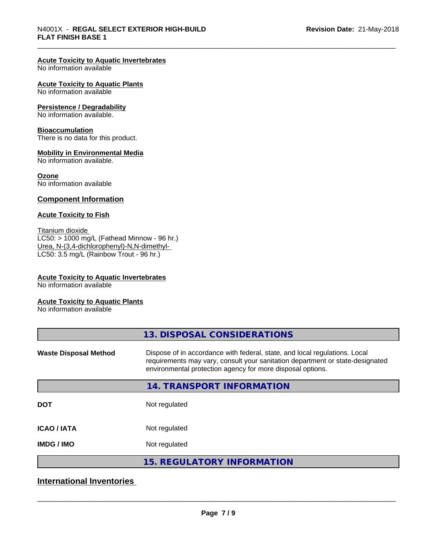# **Acute Toxicity to Aquatic Invertebrates**

No information available

#### **Acute Toxicity to Aquatic Plants**

No information available

#### **Persistence / Degradability**

No information available.

#### **Bioaccumulation**

There is no data for this product.

#### **Mobility in Environmental Media**

No information available.

#### **Ozone**

No information available

# **Component Information**

# **Acute Toxicity to Fish**

Titanium dioxide  $LC50: > 1000$  mg/L (Fathead Minnow - 96 hr.) Urea, N-(3,4-dichlorophenyl)-N,N-dimethyl- LC50: 3.5 mg/L (Rainbow Trout - 96 hr.)

# **Acute Toxicity to Aquatic Invertebrates**

No information available

#### **Acute Toxicity to Aquatic Plants**

No information available

|                              | 13. DISPOSAL CONSIDERATIONS                                                                                                                                                                                               |
|------------------------------|---------------------------------------------------------------------------------------------------------------------------------------------------------------------------------------------------------------------------|
| <b>Waste Disposal Method</b> | Dispose of in accordance with federal, state, and local regulations. Local<br>requirements may vary, consult your sanitation department or state-designated<br>environmental protection agency for more disposal options. |
|                              | 14. TRANSPORT INFORMATION                                                                                                                                                                                                 |
| <b>DOT</b>                   | Not regulated                                                                                                                                                                                                             |
| <b>ICAO/IATA</b>             | Not regulated                                                                                                                                                                                                             |
| <b>IMDG/IMO</b>              | Not regulated                                                                                                                                                                                                             |
|                              | <b>15. REGULATORY INFORMATION</b>                                                                                                                                                                                         |

# **International Inventories**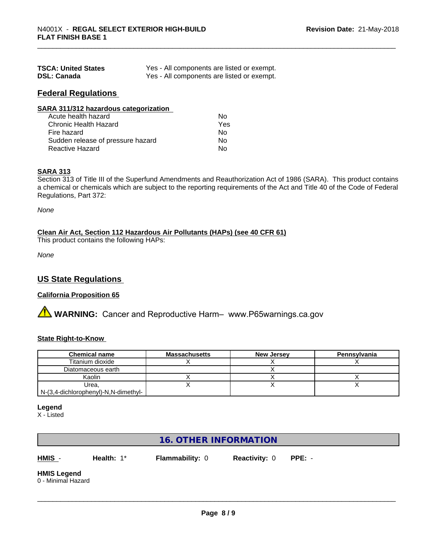| <b>TSCA: United States</b> | Yes - All components are listed or exempt. |
|----------------------------|--------------------------------------------|
| <b>DSL: Canada</b>         | Yes - All components are listed or exempt. |

# **Federal Regulations**

| Nο  |  |
|-----|--|
| Yes |  |
| Nο  |  |
| No  |  |
| No  |  |
|     |  |

# **SARA 313**

Section 313 of Title III of the Superfund Amendments and Reauthorization Act of 1986 (SARA). This product contains a chemical or chemicals which are subject to the reporting requirements of the Act and Title 40 of the Code of Federal Regulations, Part 372:

*None*

# **Clean Air Act,Section 112 Hazardous Air Pollutants (HAPs) (see 40 CFR 61)**

This product contains the following HAPs:

*None*

# **US State Regulations**

# **California Proposition 65**

**AVIMARNING:** Cancer and Reproductive Harm– www.P65warnings.ca.gov

# **State Right-to-Know**

| <b>Chemical name</b>                 | <b>Massachusetts</b> | <b>New Jersey</b> | Pennsylvania |
|--------------------------------------|----------------------|-------------------|--------------|
| Titanium dioxide                     |                      |                   |              |
| Diatomaceous earth                   |                      |                   |              |
| Kaolin                               |                      |                   |              |
| Urea.                                |                      |                   |              |
| N-(3,4-dichlorophenyl)-N,N-dimethyl- |                      |                   |              |

#### **Legend**

X - Listed

# **16. OTHER INFORMATION**

**HMIS** - **Health:** 1\* **Flammability:** 0 **Reactivity:** 0 **PPE:** -

 $\overline{\phantom{a}}$  ,  $\overline{\phantom{a}}$  ,  $\overline{\phantom{a}}$  ,  $\overline{\phantom{a}}$  ,  $\overline{\phantom{a}}$  ,  $\overline{\phantom{a}}$  ,  $\overline{\phantom{a}}$  ,  $\overline{\phantom{a}}$  ,  $\overline{\phantom{a}}$  ,  $\overline{\phantom{a}}$  ,  $\overline{\phantom{a}}$  ,  $\overline{\phantom{a}}$  ,  $\overline{\phantom{a}}$  ,  $\overline{\phantom{a}}$  ,  $\overline{\phantom{a}}$  ,  $\overline{\phantom{a}}$ 

#### **HMIS Legend** 0 - Minimal Hazard